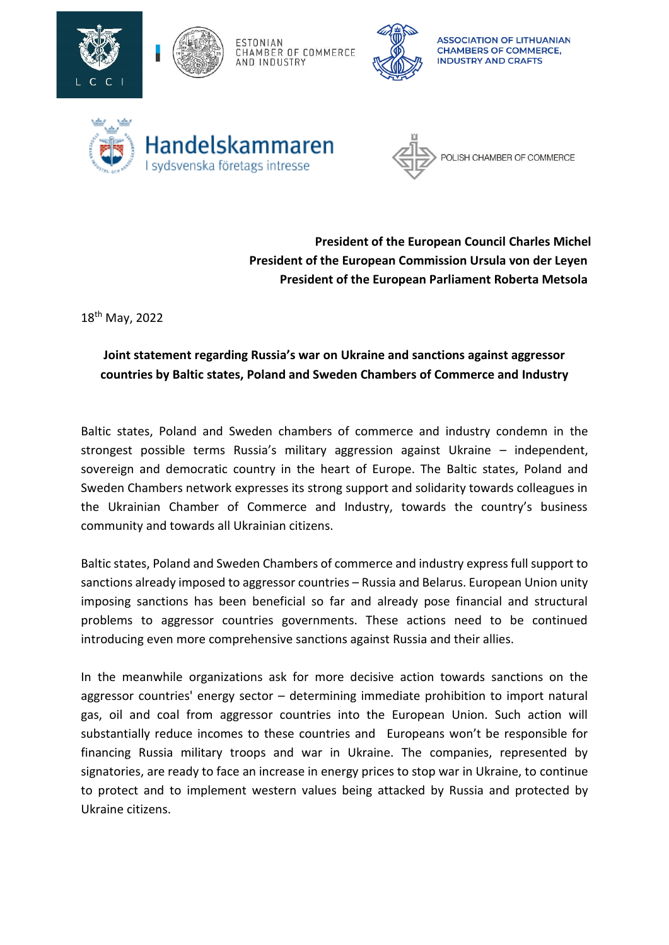



ESTONIAN CHAMBER OF COMMERCE AND INDUSTRY



**ASSOCIATION OF LITHUANIAN CHAMBERS OF COMMERCE, INDUSTRY AND CRAFTS** 





**President of the European Council Charles Michel President of the European Commission Ursula von der Leyen President of the European Parliament Roberta Metsola**

18 th May, 2022

## **Joint statement regarding Russia's war on Ukraine and sanctions against aggressor countries by Baltic states, Poland and Sweden Chambers of Commerce and Industry**

Baltic states, Poland and Sweden chambers of commerce and industry condemn in the strongest possible terms Russia's military aggression against Ukraine – independent, sovereign and democratic country in the heart of Europe. The Baltic states, Poland and Sweden Chambers network expresses its strong support and solidarity towards colleagues in the Ukrainian Chamber of Commerce and Industry, towards the country's business community and towards all Ukrainian citizens.

Baltic states, Poland and Sweden Chambers of commerce and industry express full support to sanctions already imposed to aggressor countries – Russia and Belarus. European Union unity imposing sanctions has been beneficial so far and already pose financial and structural problems to aggressor countries governments. These actions need to be continued introducing even more comprehensive sanctions against Russia and their allies.

In the meanwhile organizations ask for more decisive action towards sanctions on the aggressor countries' energy sector – determining immediate prohibition to import natural gas, oil and coal from aggressor countries into the European Union. Such action will substantially reduce incomes to these countries and Europeans won't be responsible for financing Russia military troops and war in Ukraine. The companies, represented by signatories, are ready to face an increase in energy prices to stop war in Ukraine, to continue to protect and to implement western values being attacked by Russia and protected by Ukraine citizens.